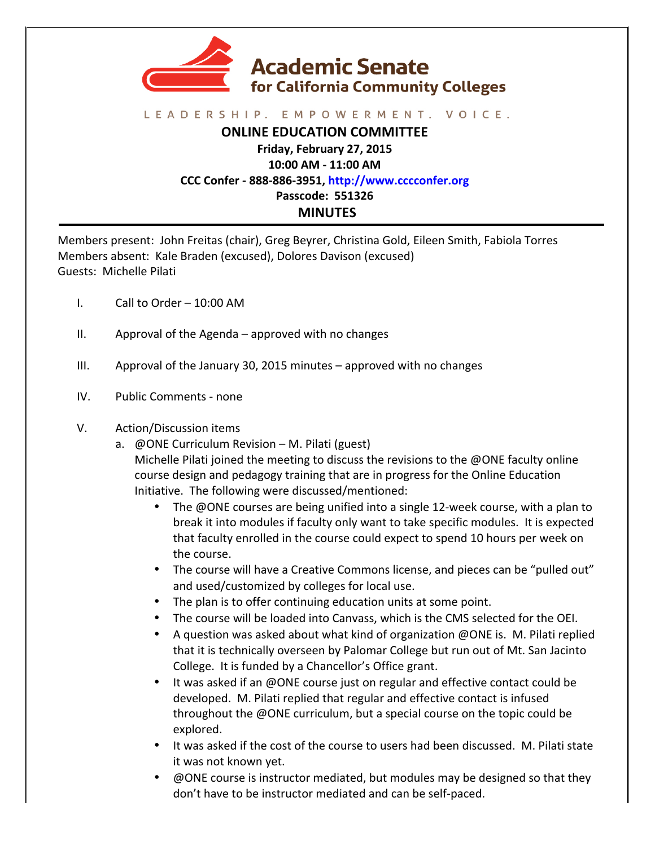

## LEADERSHIP. EMPOWERMENT. VOICE.

**ONLINE EDUCATION COMMITTEE**

**Friday, February 27, 2015**

**10:00 AM - 11:00 AM**

**CCC Confer - 888-886-3951, http://www.cccconfer.org**

**Passcode: 551326**

## **MINUTES**

Members present: John Freitas (chair), Greg Beyrer, Christina Gold, Eileen Smith, Fabiola Torres Members absent: Kale Braden (excused), Dolores Davison (excused) Guests: Michelle Pilati

- I. Call to Order  $-10:00$  AM
- $II.$  Approval of the Agenda approved with no changes
- III. Approval of the January 30, 2015 minutes  $-$  approved with no changes
- IV. Public Comments none

## V. Action/Discussion items

- a.  $\omega$  ONE Curriculum Revision M. Pilati (guest) Michelle Pilati joined the meeting to discuss the revisions to the  $\omega$ ONE faculty online course design and pedagogy training that are in progress for the Online Education Initiative. The following were discussed/mentioned:
	- The  $@$ ONE courses are being unified into a single 12-week course, with a plan to break it into modules if faculty only want to take specific modules. It is expected that faculty enrolled in the course could expect to spend 10 hours per week on the course.
	- The course will have a Creative Commons license, and pieces can be "pulled out" and used/customized by colleges for local use.
	- The plan is to offer continuing education units at some point.
	- The course will be loaded into Canvass, which is the CMS selected for the OEI.
	- A question was asked about what kind of organization  $@$  ONE is. M. Pilati replied that it is technically overseen by Palomar College but run out of Mt. San Jacinto College. It is funded by a Chancellor's Office grant.
	- It was asked if an @ONE course just on regular and effective contact could be developed. M. Pilati replied that regular and effective contact is infused throughout the @ONE curriculum, but a special course on the topic could be explored.
	- It was asked if the cost of the course to users had been discussed. M. Pilati state it was not known yet.
	- @ONE course is instructor mediated, but modules may be designed so that they don't have to be instructor mediated and can be self-paced.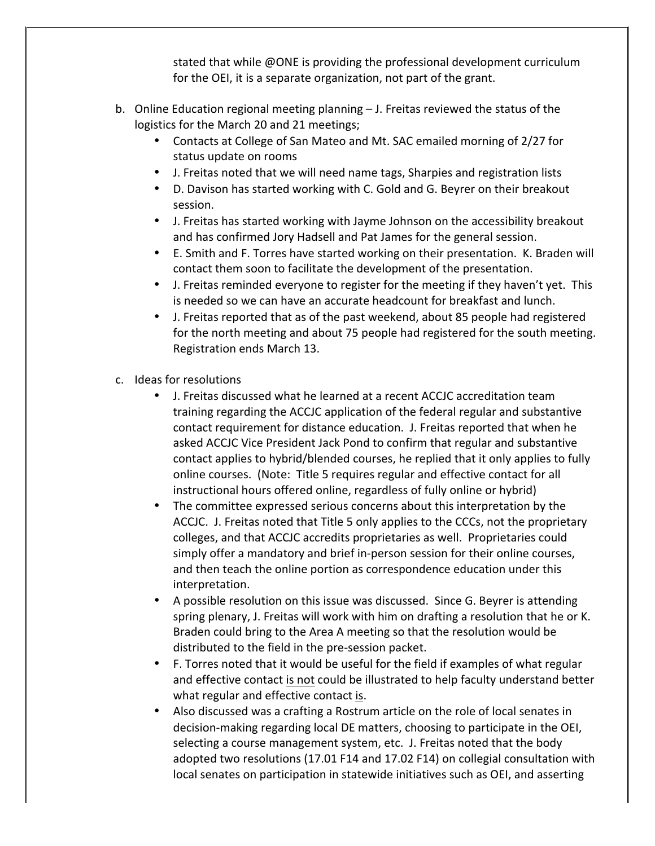stated that while @ONE is providing the professional development curriculum for the OEI, it is a separate organization, not part of the grant.

- b. Online Education regional meeting planning  $-$  J. Freitas reviewed the status of the logistics for the March 20 and 21 meetings;
	- Contacts at College of San Mateo and Mt. SAC emailed morning of 2/27 for status update on rooms
	- J. Freitas noted that we will need name tags, Sharpies and registration lists
	- D. Davison has started working with C. Gold and G. Beyrer on their breakout session.
	- J. Freitas has started working with Jayme Johnson on the accessibility breakout and has confirmed Jory Hadsell and Pat James for the general session.
	- E. Smith and F. Torres have started working on their presentation. K. Braden will contact them soon to facilitate the development of the presentation.
	- J. Freitas reminded everyone to register for the meeting if they haven't yet. This is needed so we can have an accurate headcount for breakfast and lunch.
	- J. Freitas reported that as of the past weekend, about 85 people had registered for the north meeting and about 75 people had registered for the south meeting. Registration ends March 13.
- c. Ideas for resolutions
	- J. Freitas discussed what he learned at a recent ACCJC accreditation team training regarding the ACCJC application of the federal regular and substantive contact requirement for distance education. J. Freitas reported that when he asked ACCJC Vice President Jack Pond to confirm that regular and substantive contact applies to hybrid/blended courses, he replied that it only applies to fully online courses. (Note: Title 5 requires regular and effective contact for all instructional hours offered online, regardless of fully online or hybrid)
	- The committee expressed serious concerns about this interpretation by the ACCJC. J. Freitas noted that Title 5 only applies to the CCCs, not the proprietary colleges, and that ACCJC accredits proprietaries as well. Proprietaries could simply offer a mandatory and brief in-person session for their online courses, and then teach the online portion as correspondence education under this interpretation.
	- A possible resolution on this issue was discussed. Since G. Beyrer is attending spring plenary, J. Freitas will work with him on drafting a resolution that he or K. Braden could bring to the Area A meeting so that the resolution would be distributed to the field in the pre-session packet.
	- F. Torres noted that it would be useful for the field if examples of what regular and effective contact is not could be illustrated to help faculty understand better what regular and effective contact is.
	- Also discussed was a crafting a Rostrum article on the role of local senates in decision-making regarding local DE matters, choosing to participate in the OEI, selecting a course management system, etc. J. Freitas noted that the body adopted two resolutions (17.01 F14 and 17.02 F14) on collegial consultation with local senates on participation in statewide initiatives such as OEI, and asserting